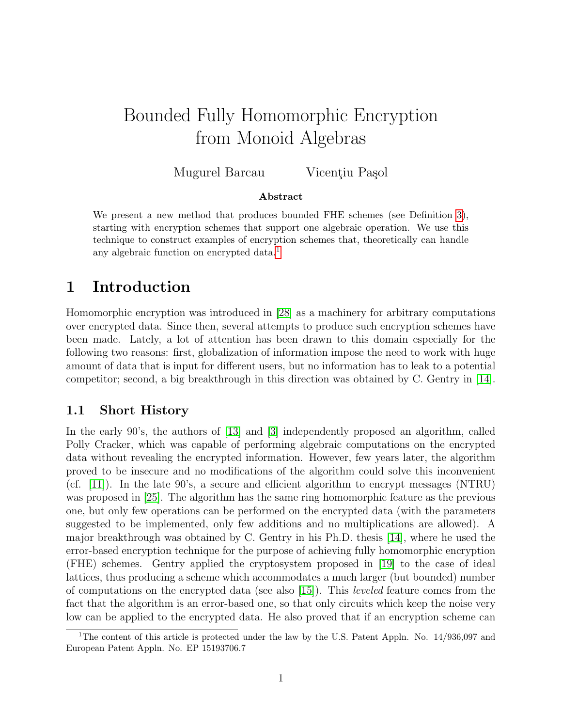# Bounded Fully Homomorphic Encryption from Monoid Algebras

Mugurel Barcau Vicențiu Pașol

#### Abstract

We present a new method that produces bounded FHE schemes (see Definition [3\)](#page-4-0), starting with encryption schemes that support one algebraic operation. We use this technique to construct examples of encryption schemes that, theoretically can handle any algebraic function on encrypted data.<sup>[1](#page-0-0)</sup>

### 1 Introduction

Homomorphic encryption was introduced in [\[28\]](#page-16-0) as a machinery for arbitrary computations over encrypted data. Since then, several attempts to produce such encryption schemes have been made. Lately, a lot of attention has been drawn to this domain especially for the following two reasons: first, globalization of information impose the need to work with huge amount of data that is input for different users, but no information has to leak to a potential competitor; second, a big breakthrough in this direction was obtained by C. Gentry in [\[14\]](#page-15-0).

#### 1.1 Short History

In the early 90's, the authors of [\[13\]](#page-15-1) and [\[3\]](#page-14-0) independently proposed an algorithm, called Polly Cracker, which was capable of performing algebraic computations on the encrypted data without revealing the encrypted information. However, few years later, the algorithm proved to be insecure and no modifications of the algorithm could solve this inconvenient (cf. [\[11\]](#page-15-2)). In the late 90's, a secure and efficient algorithm to encrypt messages (NTRU) was proposed in [\[25\]](#page-16-1). The algorithm has the same ring homomorphic feature as the previous one, but only few operations can be performed on the encrypted data (with the parameters suggested to be implemented, only few additions and no multiplications are allowed). A major breakthrough was obtained by C. Gentry in his Ph.D. thesis [\[14\]](#page-15-0), where he used the error-based encryption technique for the purpose of achieving fully homomorphic encryption (FHE) schemes. Gentry applied the cryptosystem proposed in [\[19\]](#page-16-2) to the case of ideal lattices, thus producing a scheme which accommodates a much larger (but bounded) number of computations on the encrypted data (see also [\[15\]](#page-15-3)). This leveled feature comes from the fact that the algorithm is an error-based one, so that only circuits which keep the noise very low can be applied to the encrypted data. He also proved that if an encryption scheme can

<span id="page-0-0"></span><sup>&</sup>lt;sup>1</sup>The content of this article is protected under the law by the U.S. Patent Appln. No.  $14/936.097$  and European Patent Appln. No. EP 15193706.7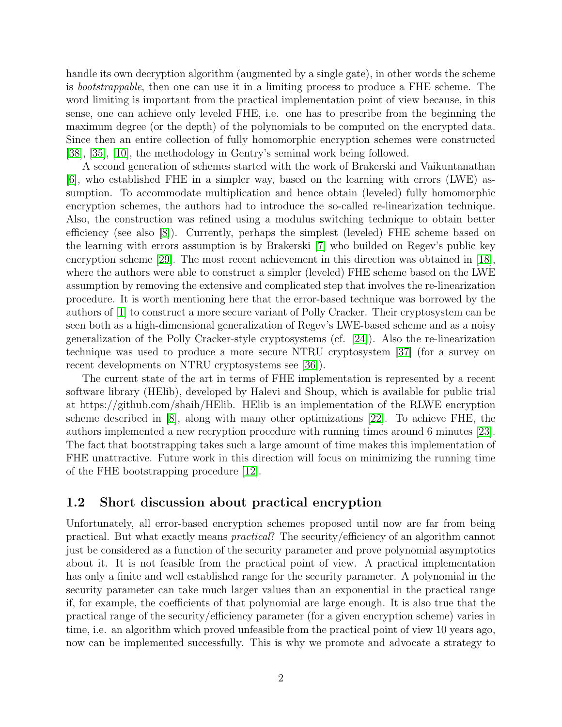handle its own decryption algorithm (augmented by a single gate), in other words the scheme is bootstrappable, then one can use it in a limiting process to produce a FHE scheme. The word limiting is important from the practical implementation point of view because, in this sense, one can achieve only leveled FHE, i.e. one has to prescribe from the beginning the maximum degree (or the depth) of the polynomials to be computed on the encrypted data. Since then an entire collection of fully homomorphic encryption schemes were constructed [\[38\]](#page-17-0), [\[35\]](#page-17-1), [\[10\]](#page-15-4), the methodology in Gentry's seminal work being followed.

A second generation of schemes started with the work of Brakerski and Vaikuntanathan [\[6\]](#page-15-5), who established FHE in a simpler way, based on the learning with errors (LWE) assumption. To accommodate multiplication and hence obtain (leveled) fully homomorphic encryption schemes, the authors had to introduce the so-called re-linearization technique. Also, the construction was refined using a modulus switching technique to obtain better efficiency (see also [\[8\]](#page-15-6)). Currently, perhaps the simplest (leveled) FHE scheme based on the learning with errors assumption is by Brakerski [\[7\]](#page-15-7) who builded on Regev's public key encryption scheme [\[29\]](#page-16-3). The most recent achievement in this direction was obtained in [\[18\]](#page-16-4), where the authors were able to construct a simpler (leveled) FHE scheme based on the LWE assumption by removing the extensive and complicated step that involves the re-linearization procedure. It is worth mentioning here that the error-based technique was borrowed by the authors of [\[1\]](#page-14-1) to construct a more secure variant of Polly Cracker. Their cryptosystem can be seen both as a high-dimensional generalization of Regev's LWE-based scheme and as a noisy generalization of the Polly Cracker-style cryptosystems (cf. [\[24\]](#page-16-5)). Also the re-linearization technique was used to produce a more secure NTRU cryptosystem [\[37\]](#page-17-2) (for a survey on recent developments on NTRU cryptosystems see [\[36\]](#page-17-3)).

The current state of the art in terms of FHE implementation is represented by a recent software library (HElib), developed by Halevi and Shoup, which is available for public trial at https://github.com/shaih/HElib. HElib is an implementation of the RLWE encryption scheme described in [\[8\]](#page-15-6), along with many other optimizations [\[22\]](#page-16-6). To achieve FHE, the authors implemented a new recryption procedure with running times around 6 minutes [\[23\]](#page-16-7). The fact that bootstrapping takes such a large amount of time makes this implementation of FHE unattractive. Future work in this direction will focus on minimizing the running time of the FHE bootstrapping procedure [\[12\]](#page-15-8).

#### <span id="page-1-0"></span>1.2 Short discussion about practical encryption

Unfortunately, all error-based encryption schemes proposed until now are far from being practical. But what exactly means practical? The security/efficiency of an algorithm cannot just be considered as a function of the security parameter and prove polynomial asymptotics about it. It is not feasible from the practical point of view. A practical implementation has only a finite and well established range for the security parameter. A polynomial in the security parameter can take much larger values than an exponential in the practical range if, for example, the coefficients of that polynomial are large enough. It is also true that the practical range of the security/efficiency parameter (for a given encryption scheme) varies in time, i.e. an algorithm which proved unfeasible from the practical point of view 10 years ago, now can be implemented successfully. This is why we promote and advocate a strategy to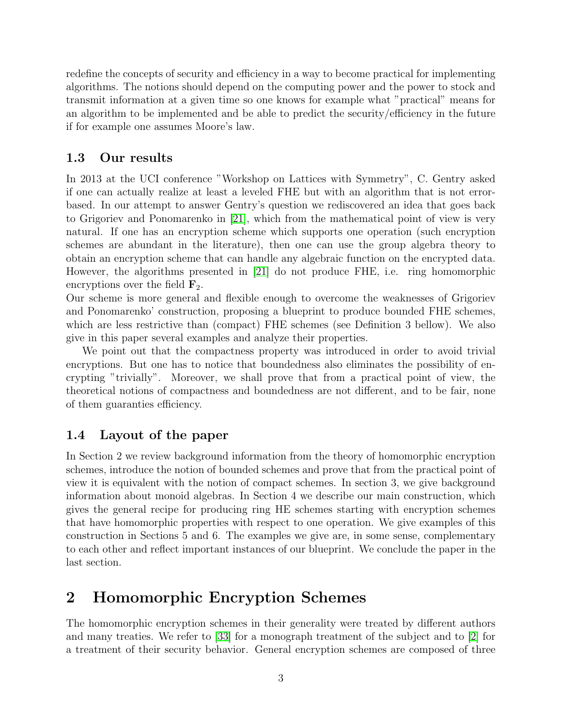redefine the concepts of security and efficiency in a way to become practical for implementing algorithms. The notions should depend on the computing power and the power to stock and transmit information at a given time so one knows for example what "practical" means for an algorithm to be implemented and be able to predict the security/efficiency in the future if for example one assumes Moore's law.

### 1.3 Our results

In 2013 at the UCI conference "Workshop on Lattices with Symmetry", C. Gentry asked if one can actually realize at least a leveled FHE but with an algorithm that is not errorbased. In our attempt to answer Gentry's question we rediscovered an idea that goes back to Grigoriev and Ponomarenko in [\[21\]](#page-16-8), which from the mathematical point of view is very natural. If one has an encryption scheme which supports one operation (such encryption schemes are abundant in the literature), then one can use the group algebra theory to obtain an encryption scheme that can handle any algebraic function on the encrypted data. However, the algorithms presented in [\[21\]](#page-16-8) do not produce FHE, i.e. ring homomorphic encryptions over the field  $\mathbf{F}_2$ .

Our scheme is more general and flexible enough to overcome the weaknesses of Grigoriev and Ponomarenko' construction, proposing a blueprint to produce bounded FHE schemes, which are less restrictive than (compact) FHE schemes (see Definition 3 bellow). We also give in this paper several examples and analyze their properties.

We point out that the compactness property was introduced in order to avoid trivial encryptions. But one has to notice that boundedness also eliminates the possibility of encrypting "trivially". Moreover, we shall prove that from a practical point of view, the theoretical notions of compactness and boundedness are not different, and to be fair, none of them guaranties efficiency.

### 1.4 Layout of the paper

In Section 2 we review background information from the theory of homomorphic encryption schemes, introduce the notion of bounded schemes and prove that from the practical point of view it is equivalent with the notion of compact schemes. In section 3, we give background information about monoid algebras. In Section 4 we describe our main construction, which gives the general recipe for producing ring HE schemes starting with encryption schemes that have homomorphic properties with respect to one operation. We give examples of this construction in Sections 5 and 6. The examples we give are, in some sense, complementary to each other and reflect important instances of our blueprint. We conclude the paper in the last section.

### 2 Homomorphic Encryption Schemes

The homomorphic encryption schemes in their generality were treated by different authors and many treaties. We refer to [\[33\]](#page-17-4) for a monograph treatment of the subject and to [\[2\]](#page-14-2) for a treatment of their security behavior. General encryption schemes are composed of three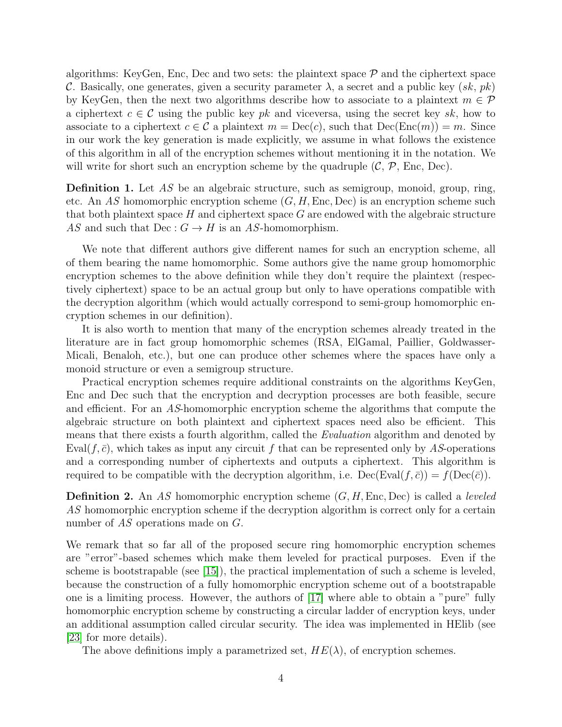algorithms: KeyGen, Enc, Dec and two sets: the plaintext space  $P$  and the ciphertext space C. Basically, one generates, given a security parameter  $\lambda$ , a secret and a public key  $(sk, pk)$ by KeyGen, then the next two algorithms describe how to associate to a plaintext  $m \in \mathcal{P}$ a ciphertext  $c \in \mathcal{C}$  using the public key pk and viceversa, using the secret key sk, how to associate to a ciphertext  $c \in \mathcal{C}$  a plaintext  $m = \text{Dec}(c)$ , such that  $\text{Dec}(\text{Enc}(m)) = m$ . Since in our work the key generation is made explicitly, we assume in what follows the existence of this algorithm in all of the encryption schemes without mentioning it in the notation. We will write for short such an encryption scheme by the quadruple  $(C, \mathcal{P}, \text{Enc}, \text{Dec})$ .

**Definition 1.** Let  $AS$  be an algebraic structure, such as semigroup, monoid, group, ring, etc. An AS homomorphic encryption scheme  $(G, H, \text{Enc}, \text{Dec})$  is an encryption scheme such that both plaintext space  $H$  and ciphertext space  $G$  are endowed with the algebraic structure AS and such that  $\text{Dec}: G \to H$  is an AS-homomorphism.

We note that different authors give different names for such an encryption scheme, all of them bearing the name homomorphic. Some authors give the name group homomorphic encryption schemes to the above definition while they don't require the plaintext (respectively ciphertext) space to be an actual group but only to have operations compatible with the decryption algorithm (which would actually correspond to semi-group homomorphic encryption schemes in our definition).

It is also worth to mention that many of the encryption schemes already treated in the literature are in fact group homomorphic schemes (RSA, ElGamal, Paillier, Goldwasser-Micali, Benaloh, etc.), but one can produce other schemes where the spaces have only a monoid structure or even a semigroup structure.

Practical encryption schemes require additional constraints on the algorithms KeyGen, Enc and Dec such that the encryption and decryption processes are both feasible, secure and efficient. For an AS-homomorphic encryption scheme the algorithms that compute the algebraic structure on both plaintext and ciphertext spaces need also be efficient. This means that there exists a fourth algorithm, called the Evaluation algorithm and denoted by Eval( $f, \bar{c}$ ), which takes as input any circuit f that can be represented only by AS-operations and a corresponding number of ciphertexts and outputs a ciphertext. This algorithm is required to be compatible with the decryption algorithm, i.e.  $\text{Dec}(\text{Eval}(f, \bar{c})) = f(\text{Dec}(\bar{c})).$ 

**Definition 2.** An AS homomorphic encryption scheme  $(G, H, \text{Enc}, \text{Dec})$  is called a *leveled* AS homomorphic encryption scheme if the decryption algorithm is correct only for a certain number of AS operations made on G.

We remark that so far all of the proposed secure ring homomorphic encryption schemes are "error"-based schemes which make them leveled for practical purposes. Even if the scheme is bootstrapable (see  $[15]$ ), the practical implementation of such a scheme is leveled, because the construction of a fully homomorphic encryption scheme out of a bootstrapable one is a limiting process. However, the authors of [\[17\]](#page-15-9) where able to obtain a "pure" fully homomorphic encryption scheme by constructing a circular ladder of encryption keys, under an additional assumption called circular security. The idea was implemented in HElib (see [\[23\]](#page-16-7) for more details).

The above definitions imply a parametrized set,  $HE(\lambda)$ , of encryption schemes.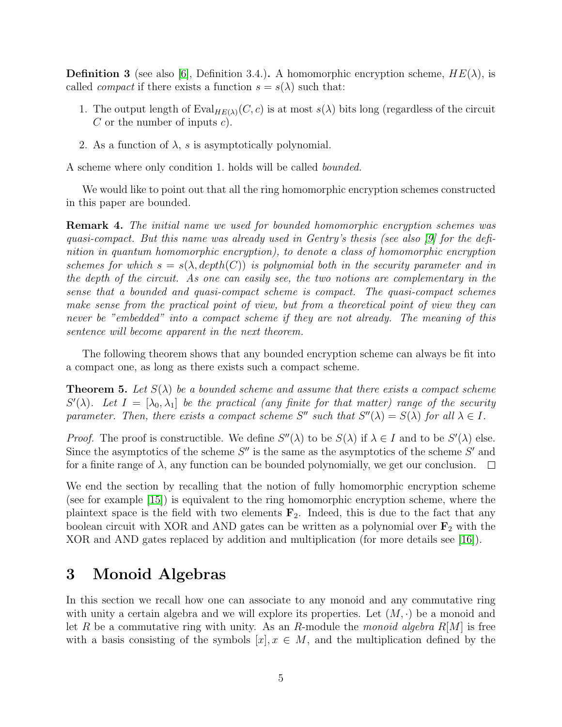<span id="page-4-0"></span>**Definition 3** (see also [\[6\]](#page-15-5), Definition 3.4.). A homomorphic encryption scheme,  $HE(\lambda)$ , is called *compact* if there exists a function  $s = s(\lambda)$  such that:

- 1. The output length of  $Eval_{HE(\lambda)}(C, c)$  is at most  $s(\lambda)$  bits long (regardless of the circuit C or the number of inputs  $c$ ).
- 2. As a function of  $\lambda$ , s is asymptotically polynomial.

A scheme where only condition 1. holds will be called bounded.

We would like to point out that all the ring homomorphic encryption schemes constructed in this paper are bounded.

Remark 4. The initial name we used for bounded homomorphic encryption schemes was quasi-compact. But this name was already used in Gentry's thesis (see also [\[9\]](#page-15-10) for the definition in quantum homomorphic encryption), to denote a class of homomorphic encryption schemes for which  $s = s(\lambda, depth(C))$  is polynomial both in the security parameter and in the depth of the circuit. As one can easily see, the two notions are complementary in the sense that a bounded and quasi-compact scheme is compact. The quasi-compact schemes make sense from the practical point of view, but from a theoretical point of view they can never be "embedded" into a compact scheme if they are not already. The meaning of this sentence will become apparent in the next theorem.

The following theorem shows that any bounded encryption scheme can always be fit into a compact one, as long as there exists such a compact scheme.

**Theorem 5.** Let  $S(\lambda)$  be a bounded scheme and assume that there exists a compact scheme  $S'(\lambda)$ . Let  $I = [\lambda_0, \lambda_1]$  be the practical (any finite for that matter) range of the security parameter. Then, there exists a compact scheme S'' such that  $S''(\lambda) = S(\lambda)$  for all  $\lambda \in I$ .

*Proof.* The proof is constructible. We define  $S''(\lambda)$  to be  $S(\lambda)$  if  $\lambda \in I$  and to be  $S'(\lambda)$  else. Since the asymptotics of the scheme  $S''$  is the same as the asymptotics of the scheme  $S'$  and for a finite range of  $\lambda$ , any function can be bounded polynomially, we get our conclusion.  $\Box$ 

We end the section by recalling that the notion of fully homomorphic encryption scheme (see for example [\[15\]](#page-15-3)) is equivalent to the ring homomorphic encryption scheme, where the plaintext space is the field with two elements  $\mathbf{F}_2$ . Indeed, this is due to the fact that any boolean circuit with XOR and AND gates can be written as a polynomial over  $\mathbf{F}_2$  with the XOR and AND gates replaced by addition and multiplication (for more details see [\[16\]](#page-15-11)).

# 3 Monoid Algebras

In this section we recall how one can associate to any monoid and any commutative ring with unity a certain algebra and we will explore its properties. Let  $(M, \cdot)$  be a monoid and let R be a commutative ring with unity. As an R-module the monoid algebra  $R[M]$  is free with a basis consisting of the symbols  $[x], x \in M$ , and the multiplication defined by the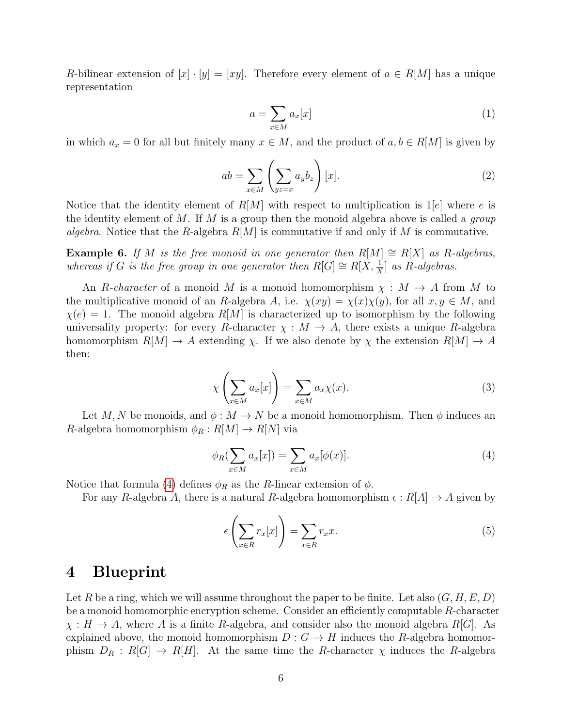R-bilinear extension of  $[x] \cdot [y] = [xy]$ . Therefore every element of  $a \in R[M]$  has a unique representation

$$
a = \sum_{x \in M} a_x[x] \tag{1}
$$

in which  $a_x = 0$  for all but finitely many  $x \in M$ , and the product of  $a, b \in R[M]$  is given by

$$
ab = \sum_{x \in M} \left( \sum_{yz=x} a_y b_z \right) [x]. \tag{2}
$$

Notice that the identity element of  $R[M]$  with respect to multiplication is 1 $|e|$  where e is the identity element of M. If M is a group then the monoid algebra above is called a *group* algebra. Notice that the R-algebra  $R[M]$  is commutative if and only if M is commutative.

**Example 6.** If M is the free monoid in one generator then  $R[M] \cong R[X]$  as R-algebras, whereas if G is the free group in one generator then  $R[G] \cong R[X, \frac{1}{X}]$  as  $R$ -algebras.

An R-character of a monoid M is a monoid homomorphism  $\chi : M \to A$  from M to the multiplicative monoid of an R-algebra A, i.e.  $\chi(xy) = \chi(x)\chi(y)$ , for all  $x, y \in M$ , and  $\chi(e) = 1$ . The monoid algebra  $R[M]$  is characterized up to isomorphism by the following universality property: for every R-character  $\chi : M \to A$ , there exists a unique R-algebra homomorphism  $R[M] \to A$  extending  $\chi$ . If we also denote by  $\chi$  the extension  $R[M] \to A$ then:

$$
\chi\left(\sum_{x \in M} a_x[x]\right) = \sum_{x \in M} a_x \chi(x). \tag{3}
$$

Let M, N be monoids, and  $\phi: M \to N$  be a monoid homomorphism. Then  $\phi$  induces an R-algebra homomorphism  $\phi_R : R[M] \to R[N]$  via

<span id="page-5-0"></span>
$$
\phi_R(\sum_{x \in M} a_x[x]) = \sum_{x \in M} a_x[\phi(x)]. \tag{4}
$$

Notice that formula [\(4\)](#page-5-0) defines  $\phi_R$  as the R-linear extension of  $\phi$ .

For any R-algebra A, there is a natural R-algebra homomorphism  $\epsilon : R[A] \to A$  given by

$$
\epsilon \left( \sum_{x \in R} r_x[x] \right) = \sum_{x \in R} r_x x. \tag{5}
$$

### 4 Blueprint

Let R be a ring, which we will assume throughout the paper to be finite. Let also  $(G, H, E, D)$ be a monoid homomorphic encryption scheme. Consider an efficiently computable R-character  $\chi : H \to A$ , where A is a finite R-algebra, and consider also the monoid algebra R[G]. As explained above, the monoid homomorphism  $D: G \to H$  induces the R-algebra homomorphism  $D_R : R[G] \to R[H]$ . At the same time the R-character  $\chi$  induces the R-algebra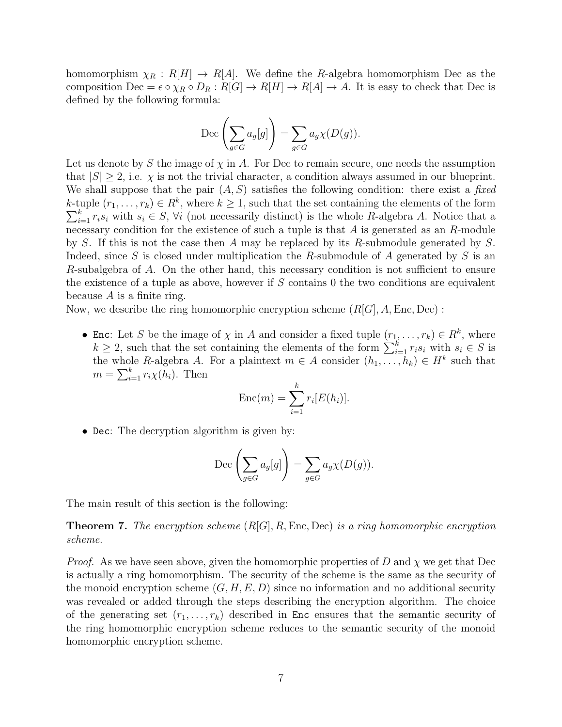homomorphism  $\chi_R : R[H] \to R[A]$ . We define the R-algebra homomorphism Dec as the composition Dec =  $\epsilon \circ \chi_R \circ D_R : R[G] \to R[H] \to R[A] \to A$ . It is easy to check that Dec is defined by the following formula:

$$
\operatorname{Dec}\left(\sum_{g\in G}a_g[g]\right)=\sum_{g\in G}a_g\chi(D(g)).
$$

Let us denote by S the image of  $\chi$  in A. For Dec to remain secure, one needs the assumption that  $|S| \geq 2$ , i.e.  $\chi$  is not the trivial character, a condition always assumed in our blueprint. We shall suppose that the pair  $(A, S)$  satisfies the following condition: there exist a fixed k-tuple  $(r_1, \ldots, r_k) \in R^k$ , where  $k \geq 1$ , such that the set containing the elements of the form  $\sum_{i=1}^{k} r_i s_i$  with  $s_i \in S$ ,  $\forall i$  (not necessarily distinct) is the whole R-algebra A. Notice that a necessary condition for the existence of such a tuple is that  $A$  is generated as an  $R$ -module by S. If this is not the case then A may be replaced by its R-submodule generated by S. Indeed, since S is closed under multiplication the R-submodule of A generated by S is an R-subalgebra of A. On the other hand, this necessary condition is not sufficient to ensure the existence of a tuple as above, however if S contains 0 the two conditions are equivalent because  $A$  is a finite ring.

Now, we describe the ring homomorphic encryption scheme  $(R[G], A, \text{Enc}, \text{Dec})$ :

• Enc: Let S be the image of  $\chi$  in A and consider a fixed tuple  $(r_1, \ldots, r_k) \in R^k$ , where  $k \geq 2$ , such that the set containing the elements of the form  $\sum_{i=1}^{k} r_i s_i$  with  $s_i \in S$  is the whole R-algebra A. For a plaintext  $m \in A$  consider  $(h_1, \ldots, h_k) \in H^k$  such that  $m = \sum_{i=1}^{k} r_i \chi(h_i)$ . Then

$$
Enc(m) = \sum_{i=1}^{k} r_i [E(h_i)].
$$

• Dec: The decryption algorithm is given by:

$$
\operatorname{Dec}\left(\sum_{g\in G}a_g[g]\right)=\sum_{g\in G}a_g\chi(D(g)).
$$

The main result of this section is the following:

**Theorem 7.** The encryption scheme  $(R[G], R, \text{Enc}, \text{Dec})$  is a ring homomorphic encryption scheme.

*Proof.* As we have seen above, given the homomorphic properties of D and  $\chi$  we get that Dec is actually a ring homomorphism. The security of the scheme is the same as the security of the monoid encryption scheme  $(G, H, E, D)$  since no information and no additional security was revealed or added through the steps describing the encryption algorithm. The choice of the generating set  $(r_1, \ldots, r_k)$  described in Enc ensures that the semantic security of the ring homomorphic encryption scheme reduces to the semantic security of the monoid homomorphic encryption scheme.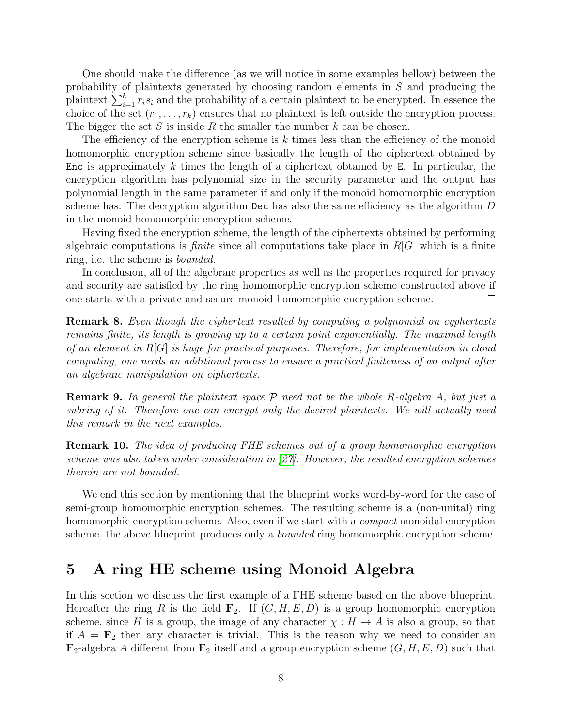One should make the difference (as we will notice in some examples bellow) between the probability of plaintexts generated by choosing random elements in S and producing the plaintext  $\sum_{i=1}^{k} r_i s_i$  and the probability of a certain plaintext to be encrypted. In essence the choice of the set  $(r_1, \ldots, r_k)$  ensures that no plaintext is left outside the encryption process. The bigger the set S is inside R the smaller the number  $k$  can be chosen.

The efficiency of the encryption scheme is k times less than the efficiency of the monoid homomorphic encryption scheme since basically the length of the ciphertext obtained by Enc is approximately k times the length of a ciphertext obtained by E. In particular, the encryption algorithm has polynomial size in the security parameter and the output has polynomial length in the same parameter if and only if the monoid homomorphic encryption scheme has. The decryption algorithm Dec has also the same efficiency as the algorithm D in the monoid homomorphic encryption scheme.

Having fixed the encryption scheme, the length of the ciphertexts obtained by performing algebraic computations is *finite* since all computations take place in  $R[G]$  which is a finite ring, i.e. the scheme is bounded.

In conclusion, all of the algebraic properties as well as the properties required for privacy and security are satisfied by the ring homomorphic encryption scheme constructed above if one starts with a private and secure monoid homomorphic encryption scheme.  $\Box$ 

Remark 8. Even though the ciphertext resulted by computing a polynomial on cyphertexts remains finite, its length is growing up to a certain point exponentially. The maximal length of an element in R[G] is huge for practical purposes. Therefore, for implementation in cloud computing, one needs an additional process to ensure a practical finiteness of an output after an algebraic manipulation on ciphertexts.

**Remark 9.** In general the plaintext space  $P$  need not be the whole R-algebra A, but just a subring of it. Therefore one can encrypt only the desired plaintexts. We will actually need this remark in the next examples.

Remark 10. The idea of producing FHE schemes out of a group homomorphic encryption scheme was also taken under consideration in [\[27\]](#page-16-9). However, the resulted encryption schemes therein are not bounded.

We end this section by mentioning that the blueprint works word-by-word for the case of semi-group homomorphic encryption schemes. The resulting scheme is a (non-unital) ring homomorphic encryption scheme. Also, even if we start with a *compact* monoidal encryption scheme, the above blueprint produces only a *bounded* ring homomorphic encryption scheme.

### 5 A ring HE scheme using Monoid Algebra

In this section we discuss the first example of a FHE scheme based on the above blueprint. Hereafter the ring R is the field  $\mathbf{F}_2$ . If  $(G, H, E, D)$  is a group homomorphic encryption scheme, since H is a group, the image of any character  $\chi : H \to A$  is also a group, so that if  $A = \mathbf{F}_2$  then any character is trivial. This is the reason why we need to consider an  $\mathbf{F}_2$ -algebra A different from  $\mathbf{F}_2$  itself and a group encryption scheme  $(G, H, E, D)$  such that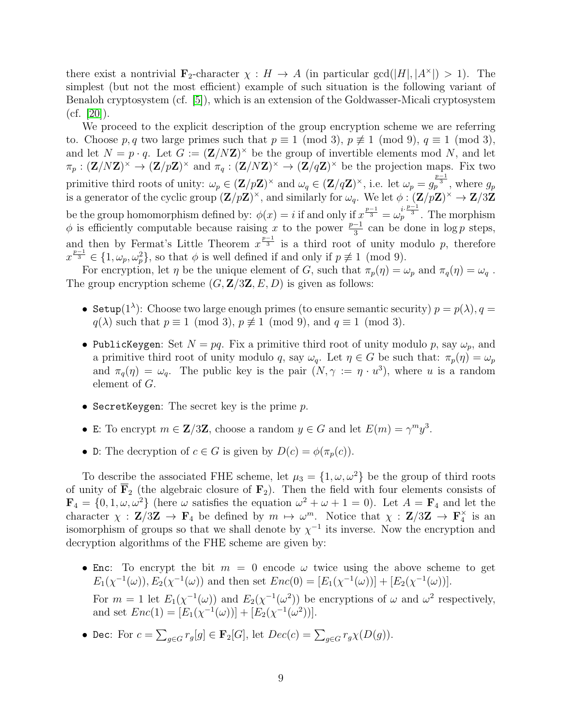there exist a nontrivial  $\mathbf{F}_2$ -character  $\chi : H \to A$  (in particular gcd( $|H|, |A^*| > 1$ ). The simplest (but not the most efficient) example of such situation is the following variant of Benaloh cryptosystem (cf. [\[5\]](#page-15-12)), which is an extension of the Goldwasser-Micali cryptosystem  $(cf. |20|).$ 

We proceed to the explicit description of the group encryption scheme we are referring to. Choose p, q two large primes such that  $p \equiv 1 \pmod{3}$ ,  $p \not\equiv 1 \pmod{9}$ ,  $q \equiv 1 \pmod{3}$ , and let  $N = p \cdot q$ . Let  $G := (\mathbf{Z}/N\mathbf{Z})^{\times}$  be the group of invertible elements mod N, and let  $\pi_p : (\mathbf{Z}/N\mathbf{Z})^{\times} \to (\mathbf{Z}/p\mathbf{Z})^{\times}$  and  $\pi_q : (\mathbf{Z}/N\mathbf{Z})^{\times} \to (\mathbf{Z}/q\mathbf{Z})^{\times}$  be the projection maps. Fix two primitive third roots of unity:  $\omega_p \in (\mathbf{Z}/p\mathbf{Z})^{\times}$  and  $\omega_q \in (\mathbf{Z}/q\mathbf{Z})^{\times}$ , i.e. let  $\omega_p = g_p^{\frac{p-1}{3}}$ , where  $g_p$ is a generator of the cyclic group  $(\mathbf{Z}/p\mathbf{Z})^{\times}$ , and similarly for  $\omega_q$ . We let  $\phi : (\mathbf{Z}/p\mathbf{Z})^{\times} \to \mathbf{Z}/3\mathbf{Z}$ be the group homomorphism defined by:  $\phi(x) = i$  if and only if  $x^{\frac{p-1}{3}} = \omega_p^{i \cdot \frac{p-1}{3}}$ . The morphism  $\phi$  is efficiently computable because raising x to the power  $\frac{p-1}{3}$  can be done in log p steps, and then by Fermat's Little Theorem  $x^{\frac{p-1}{3}}$  is a third root of unity modulo p, therefore  $x^{\frac{p-1}{3}} \in \{1, \omega_p, \omega_p^2\}$ , so that  $\phi$  is well defined if and only if  $p \not\equiv 1 \pmod{9}$ .

For encryption, let  $\eta$  be the unique element of G, such that  $\pi_p(\eta) = \omega_p$  and  $\pi_q(\eta) = \omega_q$ . The group encryption scheme  $(G, \mathbf{Z}/3\mathbf{Z}, E, D)$  is given as follows:

- Setup(1<sup> $\lambda$ </sup>): Choose two large enough primes (to ensure semantic security)  $p = p(\lambda)$ ,  $q =$  $q(\lambda)$  such that  $p \equiv 1 \pmod{3}$ ,  $p \not\equiv 1 \pmod{9}$ , and  $q \equiv 1 \pmod{3}$ .
- PublicKeygen: Set  $N = pq$ . Fix a primitive third root of unity modulo p, say  $\omega_p$ , and a primitive third root of unity modulo q, say  $\omega_q$ . Let  $\eta \in G$  be such that:  $\pi_p(\eta) = \omega_p$ and  $\pi_q(\eta) = \omega_q$ . The public key is the pair  $(N, \gamma) := \eta \cdot u^3$ , where u is a random element of G.
- SecretKeygen: The secret key is the prime  $p$ .
- E: To encrypt  $m \in \mathbb{Z}/3\mathbb{Z}$ , choose a random  $y \in G$  and let  $E(m) = \gamma^m y^3$ .
- D: The decryption of  $c \in G$  is given by  $D(c) = \phi(\pi_p(c))$ .

To describe the associated FHE scheme, let  $\mu_3 = \{1, \omega, \omega^2\}$  be the group of third roots of unity of  $\overline{F}_2$  (the algebraic closure of  $F_2$ ). Then the field with four elements consists of  $\mathbf{F}_4 = \{0, 1, \omega, \omega^2\}$  (here  $\omega$  satisfies the equation  $\omega^2 + \omega + 1 = 0$ ). Let  $A = \mathbf{F}_4$  and let the character  $\chi : \mathbf{Z}/3\mathbf{Z} \to \mathbf{F}_4$  be defined by  $m \mapsto \omega^m$ . Notice that  $\chi : \mathbf{Z}/3\mathbf{Z} \to \mathbf{F}_4^{\times}$  is an isomorphism of groups so that we shall denote by  $\chi^{-1}$  its inverse. Now the encryption and decryption algorithms of the FHE scheme are given by:

- Enc: To encrypt the bit  $m = 0$  encode  $\omega$  twice using the above scheme to get  $E_1(\chi^{-1}(\omega)), E_2(\chi^{-1}(\omega))$  and then set  $Enc(0) = [E_1(\chi^{-1}(\omega))] + [E_2(\chi^{-1}(\omega))].$ For  $m = 1$  let  $E_1(\chi^{-1}(\omega))$  and  $E_2(\chi^{-1}(\omega^2))$  be encryptions of  $\omega$  and  $\omega^2$  respectively, and set  $Enc(1) = [E_1(\chi^{-1}(\omega))] + [E_2(\chi^{-1}(\omega^2))].$
- Dec: For  $c = \sum_{g \in G} r_g[g] \in \mathbf{F}_2[G]$ , let  $Dec(c) = \sum_{g \in G} r_g \chi(D(g))$ .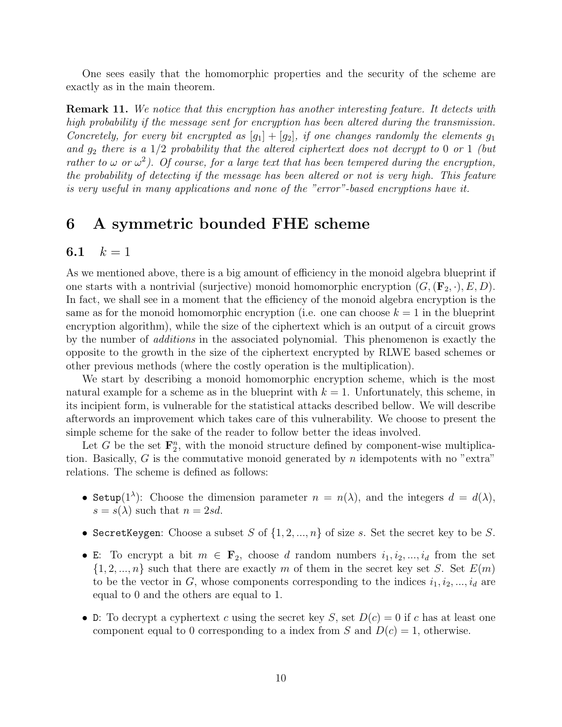One sees easily that the homomorphic properties and the security of the scheme are exactly as in the main theorem.

Remark 11. We notice that this encryption has another interesting feature. It detects with high probability if the message sent for encryption has been altered during the transmission. Concretely, for every bit encrypted as  $[g_1] + [g_2]$ , if one changes randomly the elements  $g_1$ and  $g_2$  there is a 1/2 probability that the altered ciphertext does not decrypt to 0 or 1 (but rather to  $\omega$  or  $\omega^2$ ). Of course, for a large text that has been tempered during the encryption, the probability of detecting if the message has been altered or not is very high. This feature is very useful in many applications and none of the "error"-based encryptions have it.

### 6 A symmetric bounded FHE scheme

#### 6.1  $k = 1$

As we mentioned above, there is a big amount of efficiency in the monoid algebra blueprint if one starts with a nontrivial (surjective) monoid homomorphic encryption  $(G,(\mathbf{F}_2,\cdot),E,D)$ . In fact, we shall see in a moment that the efficiency of the monoid algebra encryption is the same as for the monoid homomorphic encryption (i.e. one can choose  $k = 1$  in the blueprint encryption algorithm), while the size of the ciphertext which is an output of a circuit grows by the number of additions in the associated polynomial. This phenomenon is exactly the opposite to the growth in the size of the ciphertext encrypted by RLWE based schemes or other previous methods (where the costly operation is the multiplication).

We start by describing a monoid homomorphic encryption scheme, which is the most natural example for a scheme as in the blueprint with  $k = 1$ . Unfortunately, this scheme, in its incipient form, is vulnerable for the statistical attacks described bellow. We will describe afterwords an improvement which takes care of this vulnerability. We choose to present the simple scheme for the sake of the reader to follow better the ideas involved.

Let G be the set  $\mathbf{F}_2^n$ , with the monoid structure defined by component-wise multiplication. Basically,  $G$  is the commutative monoid generated by  $n$  idempotents with no "extra" relations. The scheme is defined as follows:

- Setup(1<sup> $\lambda$ </sup>): Choose the dimension parameter  $n = n(\lambda)$ , and the integers  $d = d(\lambda)$ ,  $s = s(\lambda)$  such that  $n = 2sd$ .
- SecretKeygen: Choose a subset S of  $\{1, 2, ..., n\}$  of size s. Set the secret key to be S.
- E: To encrypt a bit  $m \in \mathbf{F}_2$ , choose d random numbers  $i_1, i_2, ..., i_d$  from the set  $\{1, 2, ..., n\}$  such that there are exactly m of them in the secret key set S. Set  $E(m)$ to be the vector in G, whose components corresponding to the indices  $i_1, i_2, ..., i_d$  are equal to 0 and the others are equal to 1.
- D: To decrypt a cyphertext c using the secret key S, set  $D(c) = 0$  if c has at least one component equal to 0 corresponding to a index from S and  $D(c) = 1$ , otherwise.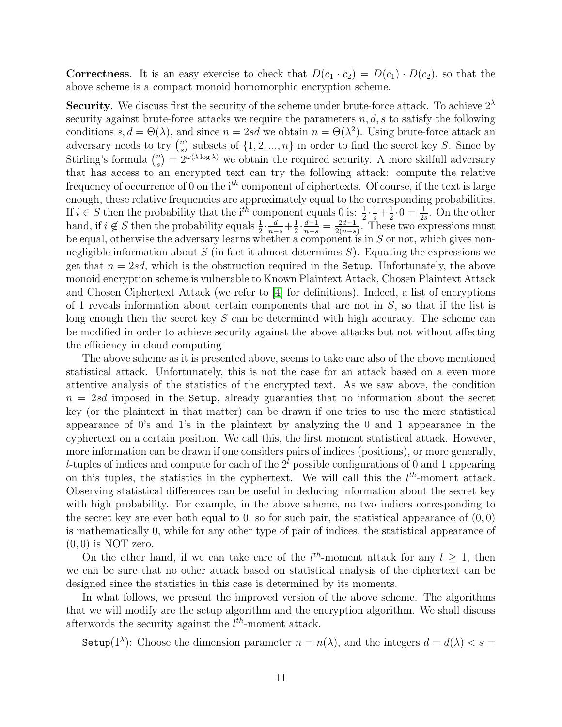**Correctness**. It is an easy exercise to check that  $D(c_1 \cdot c_2) = D(c_1) \cdot D(c_2)$ , so that the above scheme is a compact monoid homomorphic encryption scheme.

**Security.** We discuss first the security of the scheme under brute-force attack. To achieve  $2^{\lambda}$ security against brute-force attacks we require the parameters  $n, d, s$  to satisfy the following conditions  $s, d = \Theta(\lambda)$ , and since  $n = 2sd$  we obtain  $n = \Theta(\lambda^2)$ . Using brute-force attack an adversary needs to try  $\binom{n}{s}$  $s$ ) subsets of  $\{1, 2, ..., n\}$  in order to find the secret key S. Since by Stirling's formula  $\binom{n}{s}$  $s(s) = 2^{\omega(\lambda \log \lambda)}$  we obtain the required security. A more skilfull adversary that has access to an encrypted text can try the following attack: compute the relative frequency of occurrence of 0 on the  $i<sup>th</sup>$  component of ciphertexts. Of course, if the text is large enough, these relative frequencies are approximately equal to the corresponding probabilities. If  $i \in S$  then the probability that the i<sup>th</sup> component equals 0 is:  $\frac{1}{2} \cdot \frac{1}{s} + \frac{1}{2}$  $\frac{1}{2} \cdot 0 = \frac{1}{2s}$ . On the other hand, if  $i \notin S$  then the probability equals  $\frac{1}{2} \cdot \frac{d}{n-s} + \frac{1}{2}$  $\frac{1}{2} \cdot \frac{d-1}{n-s} = \frac{2d-1}{2(n-s)}$  $\frac{2d-1}{2(n-s)}$ . These two expressions must be equal, otherwise the adversary learns whether a component is in  $S$  or not, which gives nonnegligible information about  $S$  (in fact it almost determines  $S$ ). Equating the expressions we get that  $n = 2sd$ , which is the obstruction required in the Setup. Unfortunately, the above monoid encryption scheme is vulnerable to Known Plaintext Attack, Chosen Plaintext Attack and Chosen Ciphertext Attack (we refer to [\[4\]](#page-14-3) for definitions). Indeed, a list of encryptions of 1 reveals information about certain components that are not in  $S$ , so that if the list is long enough then the secret key S can be determined with high accuracy. The scheme can be modified in order to achieve security against the above attacks but not without affecting the efficiency in cloud computing.

The above scheme as it is presented above, seems to take care also of the above mentioned statistical attack. Unfortunately, this is not the case for an attack based on a even more attentive analysis of the statistics of the encrypted text. As we saw above, the condition  $n = 2sd$  imposed in the Setup, already guaranties that no information about the secret key (or the plaintext in that matter) can be drawn if one tries to use the mere statistical appearance of 0's and 1's in the plaintext by analyzing the 0 and 1 appearance in the cyphertext on a certain position. We call this, the first moment statistical attack. However, more information can be drawn if one considers pairs of indices (positions), or more generally, l-tuples of indices and compute for each of the  $2<sup>l</sup>$  possible configurations of 0 and 1 appearing on this tuples, the statistics in the cyphertext. We will call this the  $l^{th}$ -moment attack. Observing statistical differences can be useful in deducing information about the secret key with high probability. For example, in the above scheme, no two indices corresponding to the secret key are ever both equal to 0, so for such pair, the statistical appearance of  $(0, 0)$ is mathematically 0, while for any other type of pair of indices, the statistical appearance of  $(0, 0)$  is NOT zero.

On the other hand, if we can take care of the  $l^{th}$ -moment attack for any  $l \geq 1$ , then we can be sure that no other attack based on statistical analysis of the ciphertext can be designed since the statistics in this case is determined by its moments.

In what follows, we present the improved version of the above scheme. The algorithms that we will modify are the setup algorithm and the encryption algorithm. We shall discuss afterwords the security against the  $l^{th}$ -moment attack.

Setup(1<sup> $\lambda$ </sup>): Choose the dimension parameter  $n = n(\lambda)$ , and the integers  $d = d(\lambda) < s =$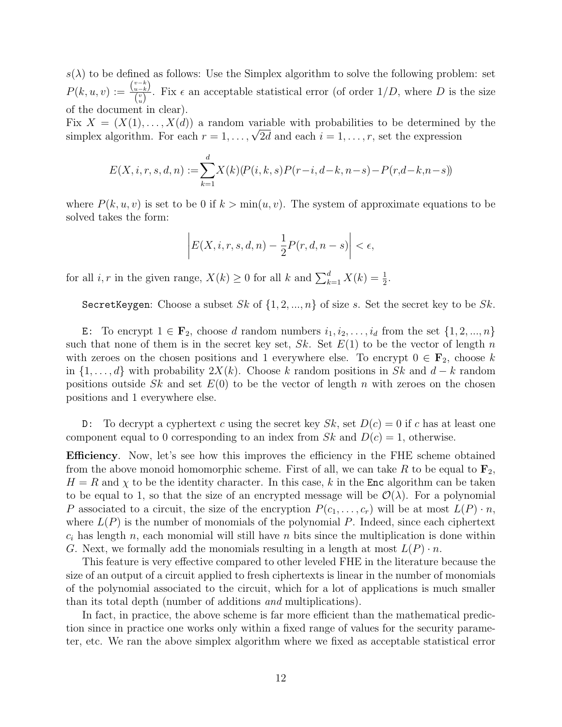$s(\lambda)$  to be defined as follows: Use the Simplex algorithm to solve the following problem: set  $P(k, u, v) := \frac{\binom{v-k}{u-k}}{\binom{v}{v}}$  $\frac{u-k}{v}$ . Fix  $\epsilon$  an acceptable statistical error (of order  $1/D$ , where D is the size of the document in clear).

Fix  $X = (X(1), \ldots, X(d))$  a random variable with probabilities to be determined by the Fix  $\Lambda = (\Lambda(1), \ldots, \Lambda(d))$  a random variable with probabilities to be determined<br>simplex algorithm. For each  $r = 1, \ldots, \sqrt{2d}$  and each  $i = 1, \ldots, r$ , set the expression

$$
E(X, i, r, s, d, n) := \sum_{k=1}^{d} X(k) (P(i, k, s) P(r-i, d-k, n-s) - P(r, d-k, n-s))
$$

where  $P(k, u, v)$  is set to be 0 if  $k > min(u, v)$ . The system of approximate equations to be solved takes the form:

$$
\left| E(X, i, r, s, d, n) - \frac{1}{2} P(r, d, n - s) \right| < \epsilon,
$$

for all *i*, *r* in the given range,  $X(k) \ge 0$  for all *k* and  $\sum_{k=1}^{d} X(k) = \frac{1}{2}$ .

SecretKeygen: Choose a subset Sk of  $\{1, 2, ..., n\}$  of size s. Set the secret key to be Sk.

E: To encrypt  $1 \in \mathbf{F}_2$ , choose d random numbers  $i_1, i_2, \ldots, i_d$  from the set  $\{1, 2, \ldots, n\}$ such that none of them is in the secret key set, Sk. Set  $E(1)$  to be the vector of length n with zeroes on the chosen positions and 1 everywhere else. To encrypt  $0 \in \mathbf{F}_2$ , choose k in  $\{1, \ldots, d\}$  with probability  $2X(k)$ . Choose k random positions in Sk and  $d - k$  random positions outside  $Sk$  and set  $E(0)$  to be the vector of length n with zeroes on the chosen positions and 1 everywhere else.

D: To decrypt a cyphertext c using the secret key  $Sk$ , set  $D(c) = 0$  if c has at least one component equal to 0 corresponding to an index from  $Sk$  and  $D(c) = 1$ , otherwise.

Efficiency. Now, let's see how this improves the efficiency in the FHE scheme obtained from the above monoid homomorphic scheme. First of all, we can take R to be equal to  $\mathbf{F}_2$ ,  $H = R$  and  $\chi$  to be the identity character. In this case, k in the **Enc** algorithm can be taken to be equal to 1, so that the size of an encrypted message will be  $\mathcal{O}(\lambda)$ . For a polynomial P associated to a circuit, the size of the encryption  $P(c_1, \ldots, c_r)$  will be at most  $L(P) \cdot n$ , where  $L(P)$  is the number of monomials of the polynomial P. Indeed, since each ciphertext  $c_i$  has length n, each monomial will still have n bits since the multiplication is done within G. Next, we formally add the monomials resulting in a length at most  $L(P) \cdot n$ .

This feature is very effective compared to other leveled FHE in the literature because the size of an output of a circuit applied to fresh ciphertexts is linear in the number of monomials of the polynomial associated to the circuit, which for a lot of applications is much smaller than its total depth (number of additions and multiplications).

In fact, in practice, the above scheme is far more efficient than the mathematical prediction since in practice one works only within a fixed range of values for the security parameter, etc. We ran the above simplex algorithm where we fixed as acceptable statistical error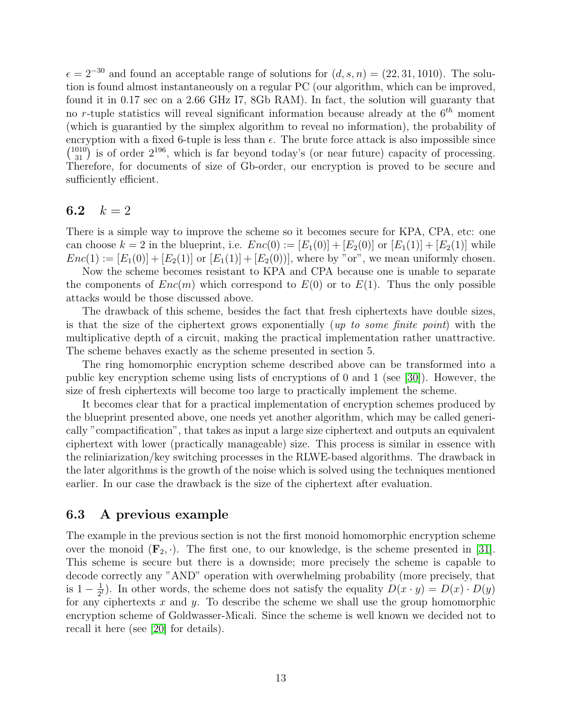$\epsilon = 2^{-30}$  and found an acceptable range of solutions for  $(d, s, n) = (22, 31, 1010)$ . The solution is found almost instantaneously on a regular PC (our algorithm, which can be improved, found it in 0.17 sec on a 2.66 GHz I7, 8Gb RAM). In fact, the solution will guaranty that no r-tuple statistics will reveal significant information because already at the  $6<sup>th</sup>$  moment (which is guarantied by the simplex algorithm to reveal no information), the probability of encryption with a fixed 6-tuple is less than  $\epsilon$ . The brute force attack is also impossible since  $\binom{1010}{31}$  is of order  $2^{196}$ , which is far beyond today's (or near future) capacity of processing. Therefore, for documents of size of Gb-order, our encryption is proved to be secure and sufficiently efficient.

### 6.2  $k = 2$

There is a simple way to improve the scheme so it becomes secure for KPA, CPA, etc: one can choose  $k = 2$  in the blueprint, i.e.  $Enc(0) := [E_1(0)] + [E_2(0)]$  or  $[E_1(1)] + [E_2(1)]$  while  $Enc(1) := [E_1(0)] + [E_2(1)]$  or  $[E_1(1)] + [E_2(0)]$ , where by "or", we mean uniformly chosen.

Now the scheme becomes resistant to KPA and CPA because one is unable to separate the components of  $Enc(m)$  which correspond to  $E(0)$  or to  $E(1)$ . Thus the only possible attacks would be those discussed above.

The drawback of this scheme, besides the fact that fresh ciphertexts have double sizes, is that the size of the ciphertext grows exponentially (up to some finite point) with the multiplicative depth of a circuit, making the practical implementation rather unattractive. The scheme behaves exactly as the scheme presented in section 5.

The ring homomorphic encryption scheme described above can be transformed into a public key encryption scheme using lists of encryptions of 0 and 1 (see [\[30\]](#page-16-11)). However, the size of fresh ciphertexts will become too large to practically implement the scheme.

It becomes clear that for a practical implementation of encryption schemes produced by the blueprint presented above, one needs yet another algorithm, which may be called generically "compactification", that takes as input a large size ciphertext and outputs an equivalent ciphertext with lower (practically manageable) size. This process is similar in essence with the reliniarization/key switching processes in the RLWE-based algorithms. The drawback in the later algorithms is the growth of the noise which is solved using the techniques mentioned earlier. In our case the drawback is the size of the ciphertext after evaluation.

#### 6.3 A previous example

The example in the previous section is not the first monoid homomorphic encryption scheme over the monoid  $(\mathbf{F}_2, \cdot)$ . The first one, to our knowledge, is the scheme presented in [\[31\]](#page-17-5). This scheme is secure but there is a downside; more precisely the scheme is capable to decode correctly any "AND" operation with overwhelming probability (more precisely, that is  $1 - \frac{1}{2l}$  $\frac{1}{2^l}$ ). In other words, the scheme does not satisfy the equality  $D(x \cdot y) = D(x) \cdot D(y)$ for any ciphertexts  $x$  and  $y$ . To describe the scheme we shall use the group homomorphic encryption scheme of Goldwasser-Micali. Since the scheme is well known we decided not to recall it here (see [\[20\]](#page-16-10) for details).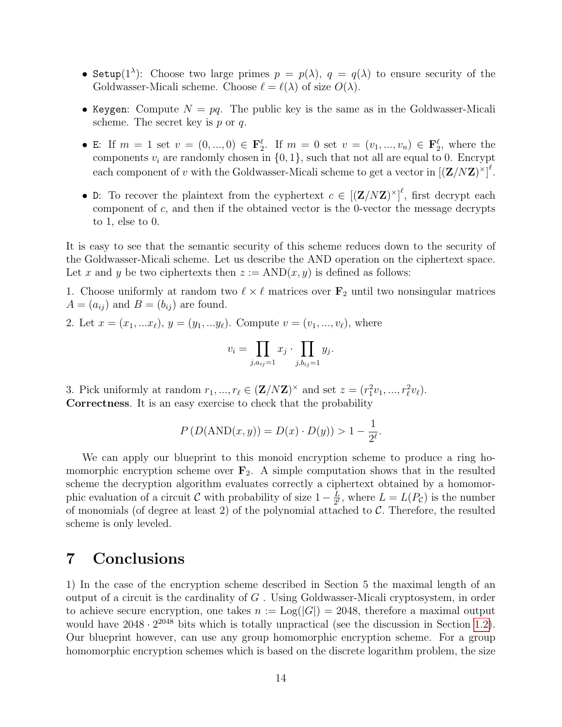- Setup(1<sup> $\lambda$ </sup>): Choose two large primes  $p = p(\lambda)$ ,  $q = q(\lambda)$  to ensure security of the Goldwasser-Micali scheme. Choose  $\ell = \ell(\lambda)$  of size  $O(\lambda)$ .
- Keygen: Compute  $N = pq$ . The public key is the same as in the Goldwasser-Micali scheme. The secret key is  $p$  or  $q$ .
- E: If  $m = 1$  set  $v = (0, ..., 0) \in \mathbf{F}_2^{\ell}$ . If  $m = 0$  set  $v = (v_1, ..., v_n) \in \mathbf{F}_2^{\ell}$ , where the components  $v_i$  are randomly chosen in  $\{0, 1\}$ , such that not all are equal to 0. Encrypt each component of v with the Goldwasser-Micali scheme to get a vector in  $[(\mathbf{Z}/N\mathbf{Z})^{\times}]^{\ell}$ .
- D: To recover the plaintext from the cyphertext  $c \in [(\mathbf{Z}/N\mathbf{Z})^{\times}]^{\ell}$ , first decrypt each component of  $c$ , and then if the obtained vector is the 0-vector the message decrypts to 1, else to 0.

It is easy to see that the semantic security of this scheme reduces down to the security of the Goldwasser-Micali scheme. Let us describe the AND operation on the ciphertext space. Let x and y be two ciphertexts then  $z := AND(x, y)$  is defined as follows:

1. Choose uniformly at random two  $\ell \times \ell$  matrices over  $\mathbf{F}_2$  until two nonsingular matrices  $A = (a_{ij})$  and  $B = (b_{ij})$  are found.

2. Let 
$$
x = (x_1, ... x_\ell), y = (y_1, ... y_\ell)
$$
. Compute  $v = (v_1, ..., v_\ell)$ , where

$$
v_i = \prod_{j, a_{ij}=1} x_j \cdot \prod_{j, b_{ij}=1} y_j.
$$

3. Pick uniformly at random  $r_1, ..., r_\ell \in (\mathbf{Z}/N\mathbf{Z})^\times$  and set  $z = (r_1^2v_1, ..., r_\ell^2v_\ell)$ . Correctness. It is an easy exercise to check that the probability

$$
P(D(AND(x, y)) = D(x) \cdot D(y)) > 1 - \frac{1}{2^{\ell}}.
$$

We can apply our blueprint to this monoid encryption scheme to produce a ring homomorphic encryption scheme over  $\mathbf{F}_2$ . A simple computation shows that in the resulted scheme the decryption algorithm evaluates correctly a ciphertext obtained by a homomorphic evaluation of a circuit C with probability of size  $1 - \frac{L}{2l}$  $\frac{L}{2^l}$ , where  $L = L(P_{\mathcal{C}})$  is the number of monomials (of degree at least 2) of the polynomial attached to  $\mathcal{C}$ . Therefore, the resulted scheme is only leveled.

### 7 Conclusions

1) In the case of the encryption scheme described in Section 5 the maximal length of an output of a circuit is the cardinality of  $G$ . Using Goldwasser-Micali cryptosystem, in order to achieve secure encryption, one takes  $n := Log(|G|) = 2048$ , therefore a maximal output would have  $2048 \cdot 2^{2048}$  bits which is totally unpractical (see the discussion in Section [1.2\)](#page-1-0). Our blueprint however, can use any group homomorphic encryption scheme. For a group homomorphic encryption schemes which is based on the discrete logarithm problem, the size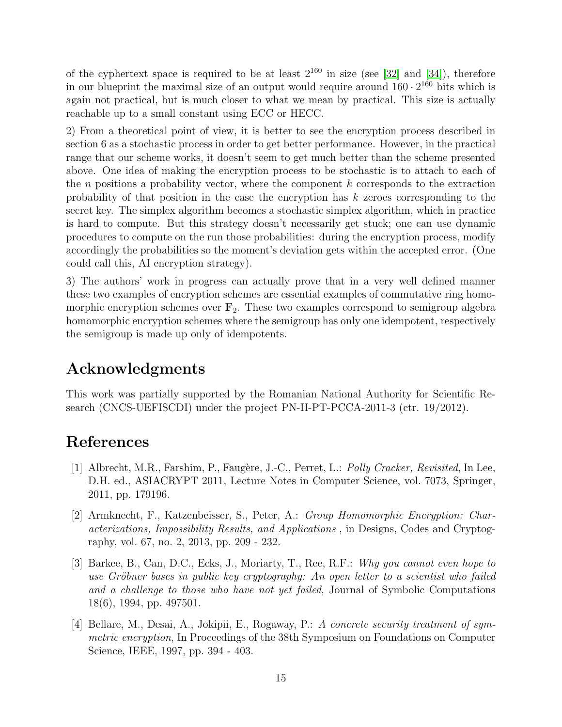of the cyphertext space is required to be at least  $2^{160}$  in size (see [\[32\]](#page-17-6) and [\[34\]](#page-17-7)), therefore in our blueprint the maximal size of an output would require around  $160 \cdot 2^{160}$  bits which is again not practical, but is much closer to what we mean by practical. This size is actually reachable up to a small constant using ECC or HECC.

2) From a theoretical point of view, it is better to see the encryption process described in section 6 as a stochastic process in order to get better performance. However, in the practical range that our scheme works, it doesn't seem to get much better than the scheme presented above. One idea of making the encryption process to be stochastic is to attach to each of the n positions a probability vector, where the component  $k$  corresponds to the extraction probability of that position in the case the encryption has k zeroes corresponding to the secret key. The simplex algorithm becomes a stochastic simplex algorithm, which in practice is hard to compute. But this strategy doesn't necessarily get stuck; one can use dynamic procedures to compute on the run those probabilities: during the encryption process, modify accordingly the probabilities so the moment's deviation gets within the accepted error. (One could call this, AI encryption strategy).

3) The authors' work in progress can actually prove that in a very well defined manner these two examples of encryption schemes are essential examples of commutative ring homomorphic encryption schemes over  $\mathbf{F}_2$ . These two examples correspond to semigroup algebra homomorphic encryption schemes where the semigroup has only one idempotent, respectively the semigroup is made up only of idempotents.

# Acknowledgments

This work was partially supported by the Romanian National Authority for Scientific Research (CNCS-UEFISCDI) under the project PN-II-PT-PCCA-2011-3 (ctr. 19/2012).

# References

- <span id="page-14-1"></span>[1] Albrecht, M.R., Farshim, P., Faugère, J.-C., Perret, L.: *Polly Cracker, Revisited*, In Lee, D.H. ed., ASIACRYPT 2011, Lecture Notes in Computer Science, vol. 7073, Springer, 2011, pp. 179196.
- <span id="page-14-2"></span>[2] Armknecht, F., Katzenbeisser, S., Peter, A.: Group Homomorphic Encryption: Characterizations, Impossibility Results, and Applications , in Designs, Codes and Cryptography, vol. 67, no. 2, 2013, pp. 209 - 232.
- <span id="page-14-0"></span>[3] Barkee, B., Can, D.C., Ecks, J., Moriarty, T., Ree, R.F.: Why you cannot even hope to use Gröbner bases in public key cryptography: An open letter to a scientist who failed and a challenge to those who have not yet failed, Journal of Symbolic Computations 18(6), 1994, pp. 497501.
- <span id="page-14-3"></span>[4] Bellare, M., Desai, A., Jokipii, E., Rogaway, P.: A concrete security treatment of symmetric encryption, In Proceedings of the 38th Symposium on Foundations on Computer Science, IEEE, 1997, pp. 394 - 403.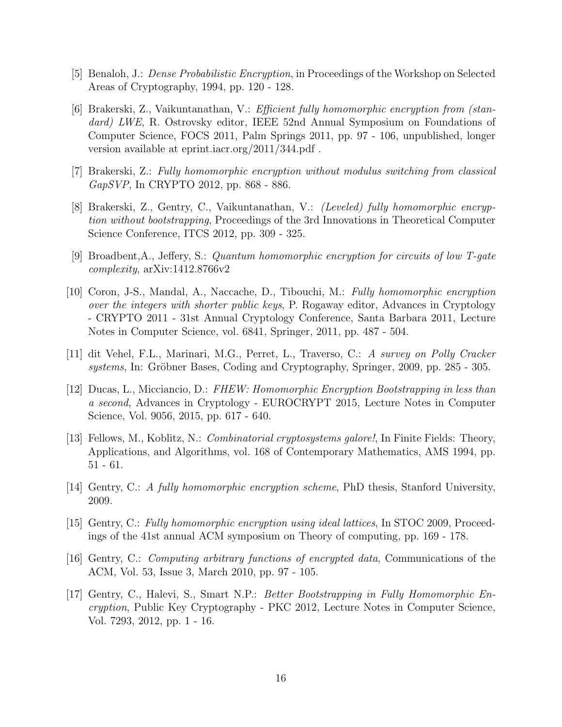- <span id="page-15-12"></span>[5] Benaloh, J.: Dense Probabilistic Encryption, in Proceedings of the Workshop on Selected Areas of Cryptography, 1994, pp. 120 - 128.
- <span id="page-15-5"></span>[6] Brakerski, Z., Vaikuntanathan, V.: Efficient fully homomorphic encryption from (standard) LWE, R. Ostrovsky editor, IEEE 52nd Annual Symposium on Foundations of Computer Science, FOCS 2011, Palm Springs 2011, pp. 97 - 106, unpublished, longer version available at eprint.iacr.org/2011/344.pdf .
- <span id="page-15-7"></span>[7] Brakerski, Z.: Fully homomorphic encryption without modulus switching from classical GapSVP, In CRYPTO 2012, pp. 868 - 886.
- <span id="page-15-6"></span>[8] Brakerski, Z., Gentry, C., Vaikuntanathan, V.: (Leveled) fully homomorphic encryption without bootstrapping, Proceedings of the 3rd Innovations in Theoretical Computer Science Conference, ITCS 2012, pp. 309 - 325.
- <span id="page-15-10"></span>[9] Broadbent,A., Jeffery, S.: Quantum homomorphic encryption for circuits of low T-gate complexity, arXiv:1412.8766v2
- <span id="page-15-4"></span>[10] Coron, J-S., Mandal, A., Naccache, D., Tibouchi, M.: Fully homomorphic encryption over the integers with shorter public keys, P. Rogaway editor, Advances in Cryptology - CRYPTO 2011 - 31st Annual Cryptology Conference, Santa Barbara 2011, Lecture Notes in Computer Science, vol. 6841, Springer, 2011, pp. 487 - 504.
- <span id="page-15-2"></span>[11] dit Vehel, F.L., Marinari, M.G., Perret, L., Traverso, C.: A survey on Polly Cracker systems, In: Gröbner Bases, Coding and Cryptography, Springer, 2009, pp. 285 - 305.
- <span id="page-15-8"></span>[12] Ducas, L., Micciancio, D.: FHEW: Homomorphic Encryption Bootstrapping in less than a second, Advances in Cryptology - EUROCRYPT 2015, Lecture Notes in Computer Science, Vol. 9056, 2015, pp. 617 - 640.
- <span id="page-15-1"></span>[13] Fellows, M., Koblitz, N.: *Combinatorial cryptosystems galore!*, In Finite Fields: Theory, Applications, and Algorithms, vol. 168 of Contemporary Mathematics, AMS 1994, pp. 51 - 61.
- <span id="page-15-0"></span>[14] Gentry, C.: A fully homomorphic encryption scheme, PhD thesis, Stanford University, 2009.
- <span id="page-15-3"></span>[15] Gentry, C.: Fully homomorphic encryption using ideal lattices, In STOC 2009, Proceedings of the 41st annual ACM symposium on Theory of computing, pp. 169 - 178.
- <span id="page-15-11"></span>[16] Gentry, C.: Computing arbitrary functions of encrypted data, Communications of the ACM, Vol. 53, Issue 3, March 2010, pp. 97 - 105.
- <span id="page-15-9"></span>[17] Gentry, C., Halevi, S., Smart N.P.: Better Bootstrapping in Fully Homomorphic Encryption, Public Key Cryptography - PKC 2012, Lecture Notes in Computer Science, Vol. 7293, 2012, pp. 1 - 16.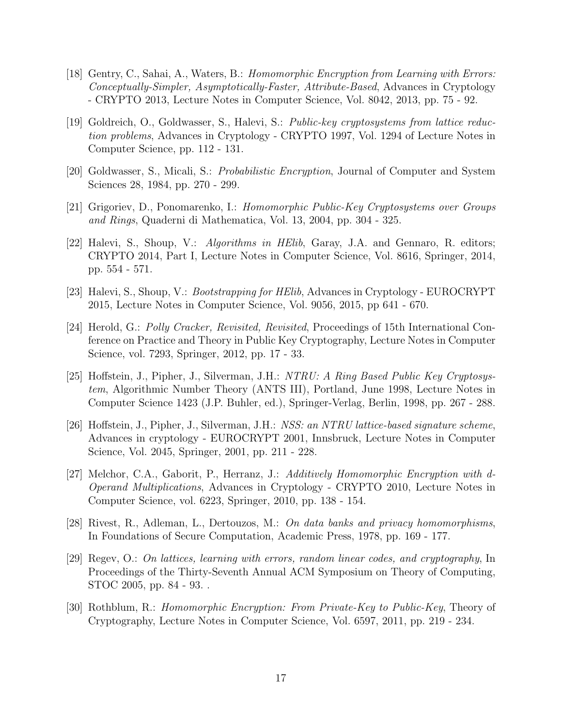- <span id="page-16-4"></span>[18] Gentry, C., Sahai, A., Waters, B.: Homomorphic Encryption from Learning with Errors: Conceptually-Simpler, Asymptotically-Faster, Attribute-Based, Advances in Cryptology - CRYPTO 2013, Lecture Notes in Computer Science, Vol. 8042, 2013, pp. 75 - 92.
- <span id="page-16-2"></span>[19] Goldreich, O., Goldwasser, S., Halevi, S.: Public-key cryptosystems from lattice reduction problems, Advances in Cryptology - CRYPTO 1997, Vol. 1294 of Lecture Notes in Computer Science, pp. 112 - 131.
- <span id="page-16-10"></span>[20] Goldwasser, S., Micali, S.: Probabilistic Encryption, Journal of Computer and System Sciences 28, 1984, pp. 270 - 299.
- <span id="page-16-8"></span>[21] Grigoriev, D., Ponomarenko, I.: Homomorphic Public-Key Cryptosystems over Groups and Rings, Quaderni di Mathematica, Vol. 13, 2004, pp. 304 - 325.
- <span id="page-16-6"></span>[22] Halevi, S., Shoup, V.: Algorithms in HElib, Garay, J.A. and Gennaro, R. editors; CRYPTO 2014, Part I, Lecture Notes in Computer Science, Vol. 8616, Springer, 2014, pp. 554 - 571.
- <span id="page-16-7"></span>[23] Halevi, S., Shoup, V.: Bootstrapping for HElib, Advances in Cryptology - EUROCRYPT 2015, Lecture Notes in Computer Science, Vol. 9056, 2015, pp 641 - 670.
- <span id="page-16-5"></span>[24] Herold, G.: Polly Cracker, Revisited, Revisited, Proceedings of 15th International Conference on Practice and Theory in Public Key Cryptography, Lecture Notes in Computer Science, vol. 7293, Springer, 2012, pp. 17 - 33.
- <span id="page-16-1"></span>[25] Hoffstein, J., Pipher, J., Silverman, J.H.: NTRU: A Ring Based Public Key Cryptosystem, Algorithmic Number Theory (ANTS III), Portland, June 1998, Lecture Notes in Computer Science 1423 (J.P. Buhler, ed.), Springer-Verlag, Berlin, 1998, pp. 267 - 288.
- [26] Hoffstein, J., Pipher, J., Silverman, J.H.: NSS: an NTRU lattice-based signature scheme, Advances in cryptology - EUROCRYPT 2001, Innsbruck, Lecture Notes in Computer Science, Vol. 2045, Springer, 2001, pp. 211 - 228.
- <span id="page-16-9"></span>[27] Melchor, C.A., Gaborit, P., Herranz, J.: Additively Homomorphic Encryption with d-Operand Multiplications, Advances in Cryptology - CRYPTO 2010, Lecture Notes in Computer Science, vol. 6223, Springer, 2010, pp. 138 - 154.
- <span id="page-16-0"></span>[28] Rivest, R., Adleman, L., Dertouzos, M.: On data banks and privacy homomorphisms, In Foundations of Secure Computation, Academic Press, 1978, pp. 169 - 177.
- <span id="page-16-3"></span>[29] Regev, O.: On lattices, learning with errors, random linear codes, and cryptography, In Proceedings of the Thirty-Seventh Annual ACM Symposium on Theory of Computing, STOC 2005, pp. 84 - 93. .
- <span id="page-16-11"></span>[30] Rothblum, R.: Homomorphic Encryption: From Private-Key to Public-Key, Theory of Cryptography, Lecture Notes in Computer Science, Vol. 6597, 2011, pp. 219 - 234.